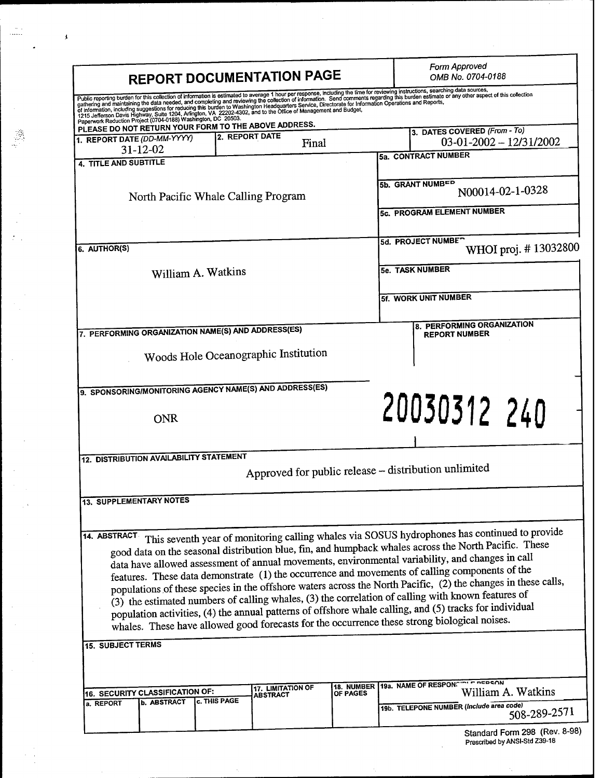| <b>REPORT DOCUMENTATION PAGE</b>                                                                                                                                                                                                                                                                                                                                                                                                                                                                                                                                                                                                                                                                                                              | <b>Form Approved</b><br>OMB No. 0704-0188                                                     |
|-----------------------------------------------------------------------------------------------------------------------------------------------------------------------------------------------------------------------------------------------------------------------------------------------------------------------------------------------------------------------------------------------------------------------------------------------------------------------------------------------------------------------------------------------------------------------------------------------------------------------------------------------------------------------------------------------------------------------------------------------|-----------------------------------------------------------------------------------------------|
| Public reporting burden for this collection of information is estimated to average 1 hour per response, including the time for reviewing instructions, searching data sources,<br>gathering and maintaining the data needed, and<br>of information, including suggestions for reducing this burden is a component of the concerned on information Operations and Reports,                                                                                                                                                                                                                                                                                                                                                                     |                                                                                               |
| 1215 Jefferson Davis Highway, Suite 1204, Affington, VA 22202-4302, and to the Office of Management and Budget,<br>Paperwork Reduction Project (0704-0188) Washington, DC 20503.                                                                                                                                                                                                                                                                                                                                                                                                                                                                                                                                                              |                                                                                               |
| PLEASE DO NOT RETURN YOUR FORM TO THE ABOVE ADDRESS.<br>2. REPORT DATE<br>1. REPORT DATE (DD-MM-YYYY)<br>Final<br>$31 - 12 - 02$                                                                                                                                                                                                                                                                                                                                                                                                                                                                                                                                                                                                              | 3. DATES COVERED (From - To)<br>$03-01-2002-12/31/2002$                                       |
| 4. TITLE AND SUBTITLE                                                                                                                                                                                                                                                                                                                                                                                                                                                                                                                                                                                                                                                                                                                         | 5a. CONTRACT NUMBER                                                                           |
|                                                                                                                                                                                                                                                                                                                                                                                                                                                                                                                                                                                                                                                                                                                                               |                                                                                               |
| North Pacific Whale Calling Program                                                                                                                                                                                                                                                                                                                                                                                                                                                                                                                                                                                                                                                                                                           | 5b. GRANT NUMBER<br>N00014-02-1-0328                                                          |
|                                                                                                                                                                                                                                                                                                                                                                                                                                                                                                                                                                                                                                                                                                                                               | 5c. PROGRAM ELEMENT NUMBER                                                                    |
| 6. AUTHOR(S)                                                                                                                                                                                                                                                                                                                                                                                                                                                                                                                                                                                                                                                                                                                                  | 5d. PROJECT NUMBE <sup>-</sup><br>WHOI proj. #13032800                                        |
| William A. Watkins                                                                                                                                                                                                                                                                                                                                                                                                                                                                                                                                                                                                                                                                                                                            | <b>5e. TASK NUMBER</b>                                                                        |
|                                                                                                                                                                                                                                                                                                                                                                                                                                                                                                                                                                                                                                                                                                                                               | 5f. WORK UNIT NUMBER                                                                          |
| 7. PERFORMING ORGANIZATION NAME(S) AND ADDRESS(ES)                                                                                                                                                                                                                                                                                                                                                                                                                                                                                                                                                                                                                                                                                            | 8. PERFORMING ORGANIZATION<br><b>REPORT NUMBER</b>                                            |
| Woods Hole Oceanographic Institution                                                                                                                                                                                                                                                                                                                                                                                                                                                                                                                                                                                                                                                                                                          |                                                                                               |
| 9. SPONSORING/MONITORING AGENCY NAME(S) AND ADDRESS(ES)                                                                                                                                                                                                                                                                                                                                                                                                                                                                                                                                                                                                                                                                                       |                                                                                               |
| ONR                                                                                                                                                                                                                                                                                                                                                                                                                                                                                                                                                                                                                                                                                                                                           | 20030312 240                                                                                  |
| <b>12. DISTRIBUTION AVAILABILITY STATEMENT</b>                                                                                                                                                                                                                                                                                                                                                                                                                                                                                                                                                                                                                                                                                                |                                                                                               |
|                                                                                                                                                                                                                                                                                                                                                                                                                                                                                                                                                                                                                                                                                                                                               | Approved for public release - distribution unlimited                                          |
| <b>13. SUPPLEMENTARY NOTES</b>                                                                                                                                                                                                                                                                                                                                                                                                                                                                                                                                                                                                                                                                                                                |                                                                                               |
| 14. ABSTRACT                                                                                                                                                                                                                                                                                                                                                                                                                                                                                                                                                                                                                                                                                                                                  | This seventh year of monitoring calling whales via SOSUS hydrophones has continued to provide |
| good data on the seasonal distribution blue, fin, and humpback whales across the North Pacific. These<br>data have allowed assessment of annual movements, environmental variability, and changes in call<br>features. These data demonstrate (1) the occurrence and movements of calling components of the<br>populations of these species in the offshore waters across the North Pacific, (2) the changes in these calls,<br>(3) the estimated numbers of calling whales, (3) the correlation of calling with known features of<br>population activities, (4) the annual patterns of offshore whale calling, and (5) tracks for individual<br>whales. These have allowed good forecasts for the occurrence these strong biological noises. |                                                                                               |
|                                                                                                                                                                                                                                                                                                                                                                                                                                                                                                                                                                                                                                                                                                                                               |                                                                                               |
| 15. SUBJECT TERMS<br>17. LIMITATION OF<br>OF PAGES                                                                                                                                                                                                                                                                                                                                                                                                                                                                                                                                                                                                                                                                                            | 18. NUMBER 19a. NAME OF RESPONSION FIRED SON                                                  |
| 16. SECURITY CLASSIFICATION OF:<br>ABSTRACT<br><b>c. THIS PAGE</b><br><b>b. ABSTRACT</b><br>a. REPORT                                                                                                                                                                                                                                                                                                                                                                                                                                                                                                                                                                                                                                         | William A. Watkins<br>19b. TELEPONE NUMBER (Include area code)<br>508-289-2571                |

 $\label{eq:2} \frac{1}{\sqrt{2}}\left(\frac{1}{\sqrt{2}}\right)^2$ 

 $\frac{1}{2}$ 

 $\hat{\mathcal{A}}$ 

 $\frac{1}{2}$ 

 $\mathcal{A}$ 

 $\frac{1}{2}$ 

 $\begin{array}{c} \mathcal{L}_{\text{max}} \\ \mathcal{L}_{\text{max}} \\ \mathcal{L}_{\text{max}} \end{array}$ 

J.

 $\ddot{\phantom{0}}$ 

 $\frac{1}{3}$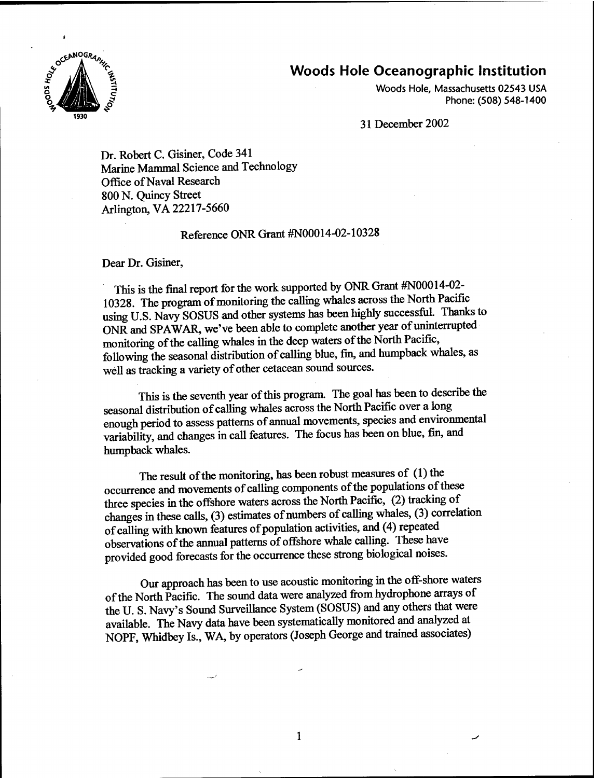## **Woods Hole Oceanographic Institution**



Woods Hole, Massachusetts 02543 USA Phone: (508) 548-1400

31 December 2002

Dr. Robert C. Gisiner, Code 341 Marine Mammal Science and Technology Office of Naval Research 800 N. Quincy Street Arlington, VA 22217-5660

## Reference ONR Grant #N00014-02-10328

Dear Dr. Gisiner,

This is the final report for the work supported by ONR Grant #N00014-02- 10328. The program of monitoring the calling whales across the North Pacific using U.S. Navy SOSUS and other systems has been highly successfiil. Thanks to ONR and SPAWAR, we've been able to complete another year of uninterrupted monitoring of the calling whales in the deep waters of the North Pacific, following the seasonal distribution of calling blue, fin, and humpback whales, as well as tracking a variety of other cetacean sound sources.

This is the seventh year of this program. The goal has been to describe the seasonal distribution of calling whales across the North Pacific over a long enough period to assess patterns of annual movements, species and environmental variability, and changes in call features. The focus has been on blue, fin, and humpback whales.

The result of the monitoring, has been robust measures of  $(1)$  the occurrence and movements of calling components of the populations of these three species in the offshore waters across the North Pacific, (2) tracking of changes in these calls, (3) estimates of numbers of calling whales, (3) correlation of calling with known features of population activities, and (4) repeated observations of the annual patterns of offshore whale calling. These have provided good forecasts for the occurrence these strong biological noises.

Our approach has been to use acoustic monitoring in the off-shore waters of the North Pacific. The sound data were analyzed from hydrophone arrays of the U. S. Navy's Sound Surveillance System (SOSUS) and any others that were available. The Navy data have been systematically monitored and analyzed at NOPF, Whidbey Is., WA, by operators (Joseph George and trained associates)

 $\mathbf{1}$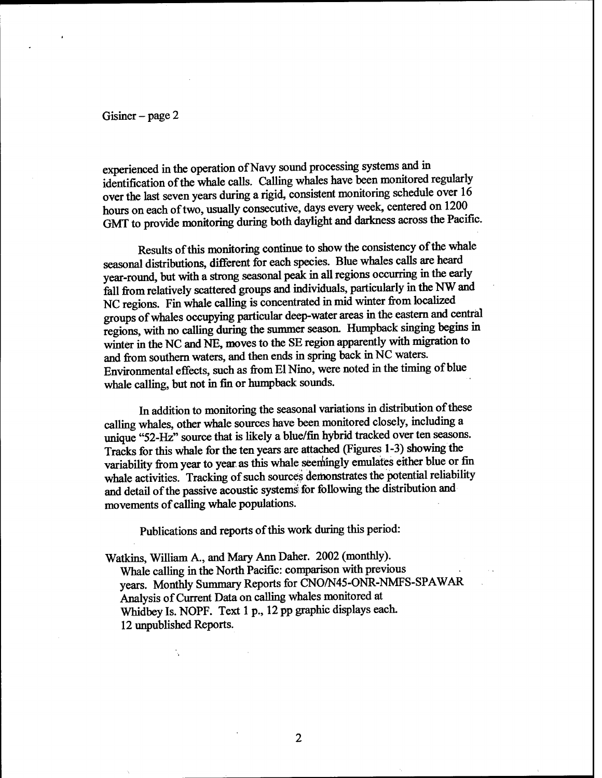Gisiner – page  $2$ 

experienced in the operation of Navy sound processing systems and in identification of the whale calls. Calling whales have been monitored regularly over the last seven years during a rigid, consistent monitoring schedule over 16 hours on each of two, usually consecutive, days every week, centered on 1200 GMT to provide monitoring during both daylight and darkness across the Pacific.

Results of this monitoring continue to show the consistency of the whale seasonal distributions, different for each species. Blue whales calls are heard year-round, but with a strong seasonal peak in all regions occurring in the early fell from relatively scattered groups and individuals, particularly in the NW and NC regions. Fin whale calling is concentrated in mid winter from localized groups ofwhales occupying particular deep-water areas in the eastern and central regions, with no calling during the summer season. Humpback singing begins in winter in the NC and NE, moves to the SE region apparently with migration to and from southern waters, and then ends in spring back in NC waters. Environmental effects, such as from El Nino, were noted in the timing of blue whale calling, but not in fin or humpback sounds.

In addition to monitoring the seasonal variations in distribution of these calling whales, other whale sources have been monitored closely, including a unique "52-Hz" source that is likely a blue/fin hybrid tracked over ten seasons. Tracks for this whale for the ten years are attached (Figures 1-3) showing the variability from year to year as this whale seemingly emulates either blue or fin whale activities. Tracking of such sources demonstrates the potential reliability and detail of the passive acoustic systems for following the distribution and movements of calling whale populations.

Publications and reports of this work during this period:

Watkins, William A., and Mary Ann Daher. 2002 (monthly). Whale calling in the North Pacific: comparison with previous years. Monthly Summary Reports for CNO/N45-ONR-NMFS-SPAWAR Analysis of Current Data on calling whales monitored at Whidbey Is. NOPF. Text <sup>1</sup> p., 12 pp graphic displays each. 12 unpublished Reports.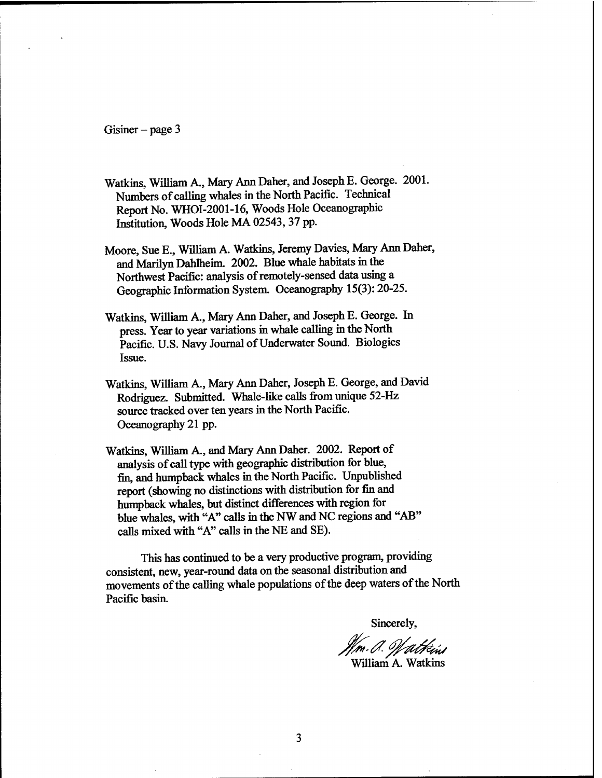Gisiner - page 3

- Watkins, William A., Mary Ann Daher, and Joseph E. George. 2001. Numbers of calling whales in the North Pacific. Technical Report No. WHOI-2001-16, Woods Hole Oceanographic Institution, Woods Hole MA 02543, 37 pp.
- Moore, Sue E., William A. Watkins, Jeremy Davies, Mary Ann Daher, and Marilyn Dahlheim. 2002. Blue whale habitats in the Northwest Pacific: analysis of remotely-sensed data using a Geographic Information System. Oceanography 15(3): 20-25.
- Watkins, William A., Mary Ann Daher, and Joseph E. George. In press. Year to year variations in whale calling in the North Pacific. U.S. Navy Journal of Underwater Sound. Biologics Issue.
- Watkins, William A., Mary Ann Daher, Joseph E. George, and David Rodriguez. Submitted. Whale-like calls from unique 52-Hz source tracked over ten years in the North Pacific. Oceanography 21 pp.
- Watkins, William A., and Mary Ann Daher. 2002. Report of analysis of call type with geographic distribution for blue, fin, and humpback whales in the North Pacific. Unpublished report (showing no distinctions with distribution for fin and humpback whales, but distinct differences with region for blue whales, with "A" calls in the NW and NC regions and "AB" calls mixed with "A" calls in the NE and SE).

This has continued to be a very productive program, providing consistent, new, year-round data on the seasonal distribution and movements of the calling whale populations of the deep waters of the North Pacific basin.

Sincerely,

*In. J. Will<del>i</del>ús*<br>William A. Watkins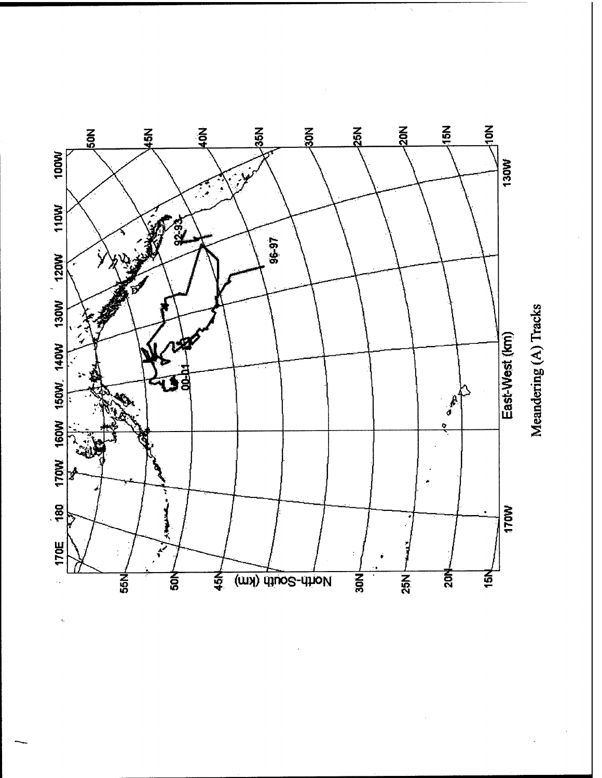

Meandering (A) Tracks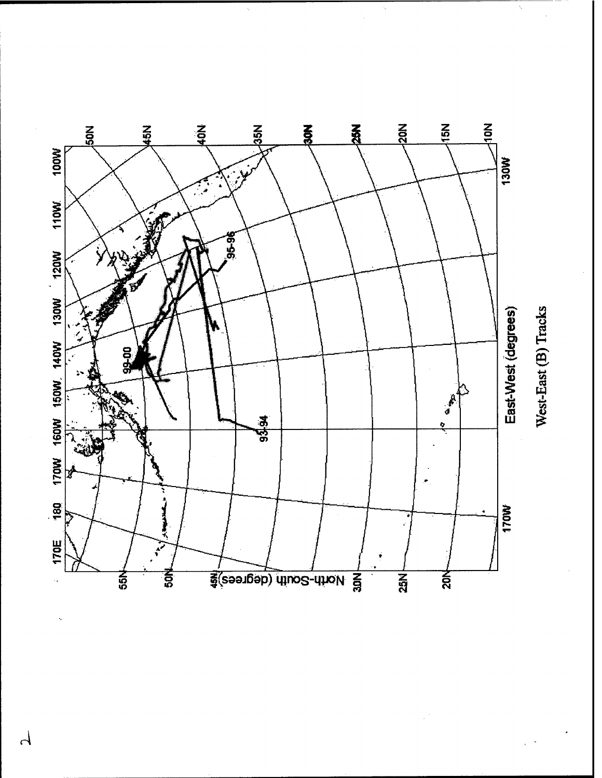

West-East (B) Tracks

 $\overline{\mathcal{L}}$